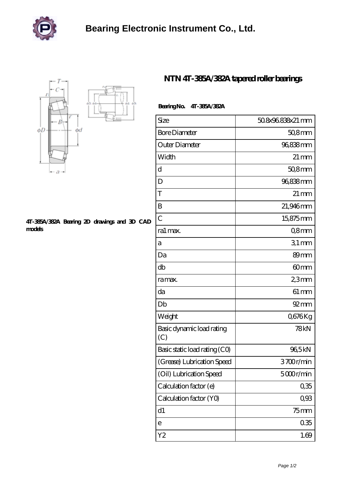



## **[4T-385A/382A Bearing 2D drawings and 3D CAD](https://m.zlikb.com/pic-98681.html) [models](https://m.zlikb.com/pic-98681.html)**

## **[NTN 4T-385A/382A tapered roller bearings](https://m.zlikb.com/al-98681-ntn-4t-385a-382a-tapered-roller-bearings.html)**

| Bearing No. 4T-385A/382A |
|--------------------------|
|                          |
|                          |

| Size                             | 508x96838x21 mm    |
|----------------------------------|--------------------|
| <b>Bore Diameter</b>             | 50,8mm             |
| Outer Diameter                   | 96,838mm           |
| Width                            | $21 \,\mathrm{mm}$ |
| d                                | $508$ mm           |
| D                                | 96,838mm           |
| T                                | $21 \,\mathrm{mm}$ |
| B                                | 21,946mm           |
| $\overline{C}$                   | 15,875mm           |
| ra1 max.                         | Q8mm               |
| а                                | $31$ mm            |
| Da                               | 89 <sub>mm</sub>   |
| db                               | 60mm               |
| ra max.                          | 23mm               |
| da                               | $61 \,\mathrm{mm}$ |
| Db                               | $92 \text{mm}$     |
| Weight                           | Q676Kg             |
| Basic dynamic load rating<br>(C) | 78kN               |
| Basic static load rating (CO)    | 965kN              |
| (Grease) Lubrication Speed       | 3700r/min          |
| (Oil) Lubrication Speed          | 5000r/min          |
| Calculation factor (e)           | 035                |
| Calculation factor (YO)          | 0,93               |
| d1                               | $75$ mm            |
| е                                | 035                |
| Y2                               | 1.69               |